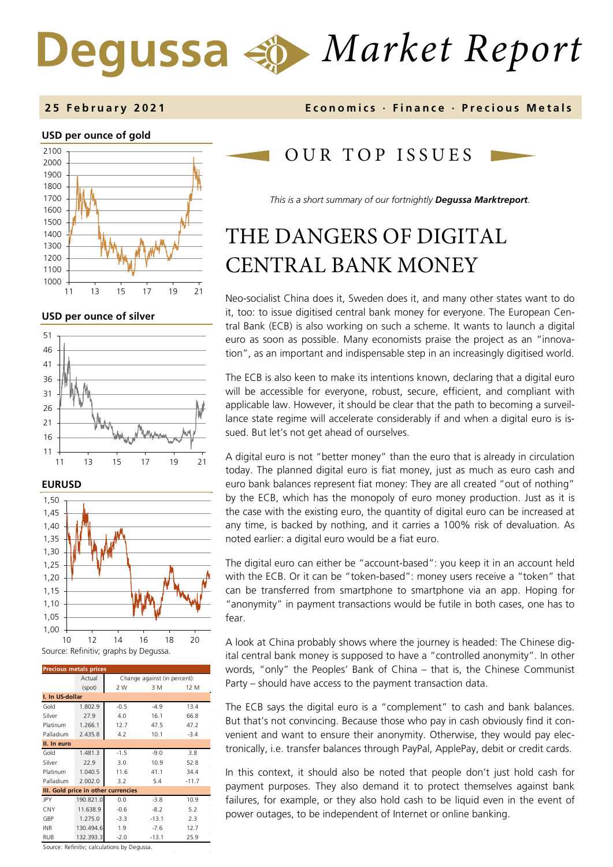# *Market Report* Degussa

#### **2 5 February 202 1 Economics · Finance · Precious M etals**

#### **USD per ounce of gold**



**USD per ounce of silver** 





| <b>Precious metals prices</b>       |           |                              |         |         |  |  |  |  |  |  |
|-------------------------------------|-----------|------------------------------|---------|---------|--|--|--|--|--|--|
|                                     | Actual    | Change against (in percent): |         |         |  |  |  |  |  |  |
|                                     | (spot)    | 2 W                          | 3 M     | 12 M    |  |  |  |  |  |  |
| I. In US-dollar                     |           |                              |         |         |  |  |  |  |  |  |
| Gold                                | 1.802.9   | $-0.5$                       | $-4.9$  | 13.4    |  |  |  |  |  |  |
| Silver                              | 27.9      | 4.0                          | 16.1    | 66.8    |  |  |  |  |  |  |
| Platinum                            | 1.266.1   | 12.7                         | 47.5    | 47.2    |  |  |  |  |  |  |
| Palladium                           | 2.435.8   | 4.2                          | 10.1    | $-3.4$  |  |  |  |  |  |  |
| II. In euro                         |           |                              |         |         |  |  |  |  |  |  |
| Gold                                | 1.481.3   | $-1.5$                       | $-9.0$  | 3.8     |  |  |  |  |  |  |
| Silver                              | 22.9      | 3.0                          | 10.9    | 52.8    |  |  |  |  |  |  |
| Platinum                            | 1.040.5   | 11.6                         | 41.1    | 34.4    |  |  |  |  |  |  |
| Palladium                           | 2.002.0   | 3.2                          | 5.4     | $-11.7$ |  |  |  |  |  |  |
| III. Gold price in other currencies |           |                              |         |         |  |  |  |  |  |  |
| JPY                                 | 190.821.0 | 0.0                          | $-3.8$  | 10.9    |  |  |  |  |  |  |
| CNY                                 | 11.638.9  | $-0.6$                       | $-8.2$  | 5.2     |  |  |  |  |  |  |
| GBP                                 | 1.275.0   | $-3.3$                       | $-13.1$ | 2.3     |  |  |  |  |  |  |
| <b>INR</b>                          | 130.494.6 | 1.9                          | $-7.6$  | 12.7    |  |  |  |  |  |  |
| RUB                                 | 132.393.3 | $-2.0$                       | $-13.1$ | 25.9    |  |  |  |  |  |  |

Source: Refinitiv; calculations by Degussa.

### OUR TOP ISSUE S

*This is a short summary of our fortnightly Degussa Marktreport.*

# THE DANGERS OF DIGITAL CENTRAL BANK MONEY

Neo-socialist China does it, Sweden does it, and many other states want to do it, too: to issue digitised central bank money for everyone. The European Central Bank (ECB) is also working on such a scheme. It wants to launch a digital euro as soon as possible. Many economists praise the project as an "innovation", as an important and indispensable step in an increasingly digitised world.

The ECB is also keen to make its intentions known, declaring that a digital euro will be accessible for everyone, robust, secure, efficient, and compliant with applicable law. However, it should be clear that the path to becoming a surveillance state regime will accelerate considerably if and when a digital euro is issued. But let's not get ahead of ourselves.

A digital euro is not "better money" than the euro that is already in circulation today. The planned digital euro is fiat money, just as much as euro cash and euro bank balances represent fiat money: They are all created "out of nothing" by the ECB, which has the monopoly of euro money production. Just as it is the case with the existing euro, the quantity of digital euro can be increased at any time, is backed by nothing, and it carries a 100% risk of devaluation. As noted earlier: a digital euro would be a fiat euro.

The digital euro can either be "account-based": you keep it in an account held with the ECB. Or it can be "token-based": money users receive a "token" that can be transferred from smartphone to smartphone via an app. Hoping for "anonymity" in payment transactions would be futile in both cases, one has to fear.

A look at China probably shows where the journey is headed: The Chinese digital central bank money is supposed to have a "controlled anonymity". In other words, "only" the Peoples' Bank of China – that is, the Chinese Communist Party – should have access to the payment transaction data.

The ECB says the digital euro is a "complement" to cash and bank balances. But that's not convincing. Because those who pay in cash obviously find it convenient and want to ensure their anonymity. Otherwise, they would pay electronically, i.e. transfer balances through PayPal, ApplePay, debit or credit cards.

In this context, it should also be noted that people don't just hold cash for payment purposes. They also demand it to protect themselves against bank failures, for example, or they also hold cash to be liquid even in the event of power outages, to be independent of Internet or online banking.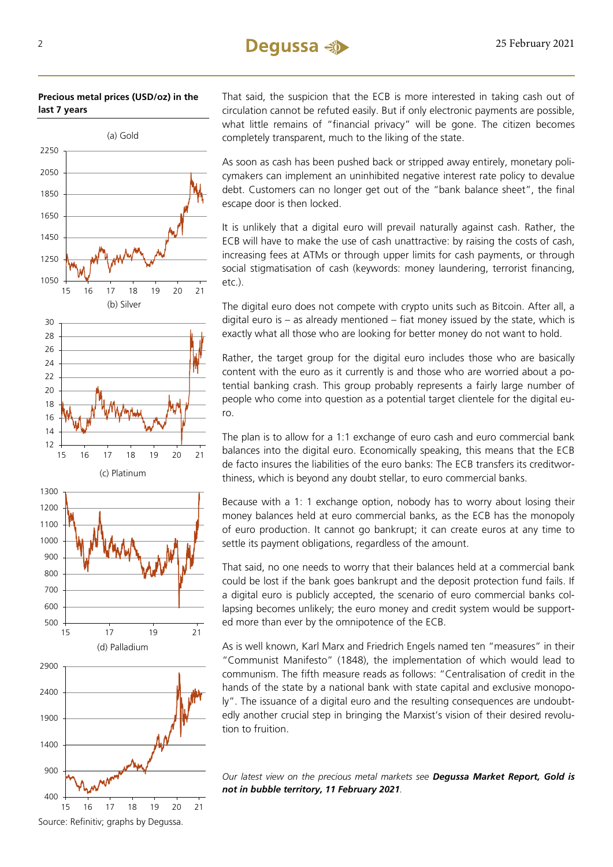**Precious metal prices (USD/oz) in the last 7 years**



That said, the suspicion that the ECB is more interested in taking cash out of circulation cannot be refuted easily. But if only electronic payments are possible, what little remains of "financial privacy" will be gone. The citizen becomes completely transparent, much to the liking of the state.

As soon as cash has been pushed back or stripped away entirely, monetary policymakers can implement an uninhibited negative interest rate policy to devalue debt. Customers can no longer get out of the "bank balance sheet", the final escape door is then locked.

It is unlikely that a digital euro will prevail naturally against cash. Rather, the ECB will have to make the use of cash unattractive: by raising the costs of cash, increasing fees at ATMs or through upper limits for cash payments, or through social stigmatisation of cash (keywords: money laundering, terrorist financing, etc.).

The digital euro does not compete with crypto units such as Bitcoin. After all, a digital euro is – as already mentioned – fiat money issued by the state, which is exactly what all those who are looking for better money do not want to hold.

Rather, the target group for the digital euro includes those who are basically content with the euro as it currently is and those who are worried about a potential banking crash. This group probably represents a fairly large number of people who come into question as a potential target clientele for the digital euro.

The plan is to allow for a 1:1 exchange of euro cash and euro commercial bank balances into the digital euro. Economically speaking, this means that the ECB de facto insures the liabilities of the euro banks: The ECB transfers its creditworthiness, which is beyond any doubt stellar, to euro commercial banks.

Because with a 1: 1 exchange option, nobody has to worry about losing their money balances held at euro commercial banks, as the ECB has the monopoly of euro production. It cannot go bankrupt; it can create euros at any time to settle its payment obligations, regardless of the amount.

That said, no one needs to worry that their balances held at a commercial bank could be lost if the bank goes bankrupt and the deposit protection fund fails. If a digital euro is publicly accepted, the scenario of euro commercial banks collapsing becomes unlikely; the euro money and credit system would be supported more than ever by the omnipotence of the ECB.

As is well known, Karl Marx and Friedrich Engels named ten "measures" in their "Communist Manifesto" (1848), the implementation of which would lead to communism. The fifth measure reads as follows: "Centralisation of credit in the hands of the state by a national bank with state capital and exclusive monopoly". The issuance of a digital euro and the resulting consequences are undoubtedly another crucial step in bringing the Marxist's vision of their desired revolution to fruition.

*Our latest view on the precious metal markets see [Degussa Market Report, Gold is](http://news.degussa-goldhandel.de/marketreport/newsletter/3H354C5TZH.pdf)  [not in bubble territory, 11 February](http://news.degussa-goldhandel.de/marketreport/newsletter/3H354C5TZH.pdf) 2021.*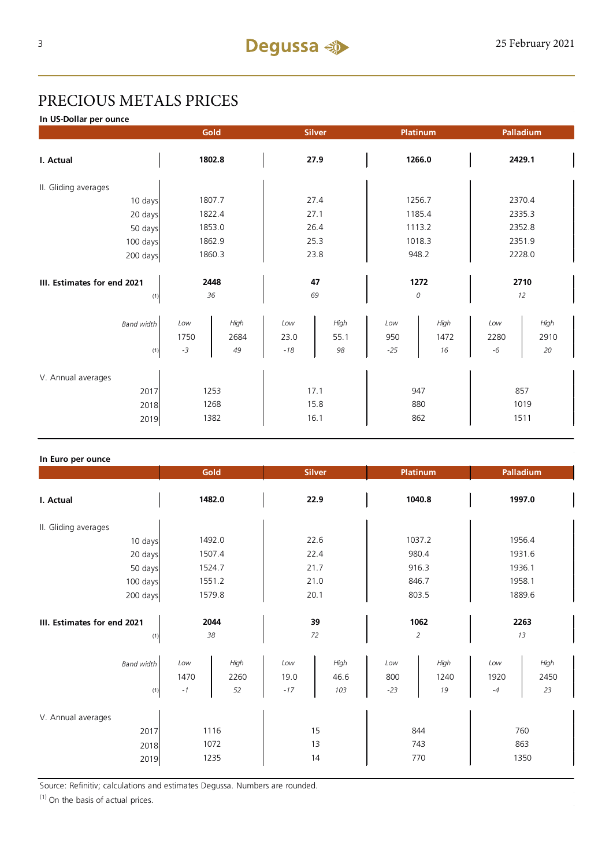## PRECIOUS METALS PRICES

**In US-Dollar per ounce**

| 2429.1       |  |
|--------------|--|
|              |  |
| 2370.4       |  |
| 2335.3       |  |
| 2352.8       |  |
| 2351.9       |  |
| 2228.0       |  |
|              |  |
| 2710         |  |
| 12           |  |
| High<br>2910 |  |
| 20           |  |
|              |  |
|              |  |
| 857          |  |
| 1019         |  |
| 1511         |  |
|              |  |

#### **In Euro per ounce**

|                                            | Gold<br><b>Silver</b>      |                      | Platinum             |                     | Palladium              |                    |                     |                    |
|--------------------------------------------|----------------------------|----------------------|----------------------|---------------------|------------------------|--------------------|---------------------|--------------------|
| I. Actual                                  | 1482.0                     |                      | 22.9                 |                     | 1040.8                 |                    | 1997.0              |                    |
| II. Gliding averages                       |                            |                      |                      |                     |                        |                    |                     |                    |
| 10 days                                    | 1492.0                     |                      | 22.6                 |                     | 1037.2                 |                    | 1956.4              |                    |
| 20 days                                    | 1507.4                     |                      | 22.4                 |                     | 980.4                  |                    | 1931.6              |                    |
| 50 days                                    | 1524.7                     |                      | 21.7                 |                     | 916.3                  |                    | 1936.1              |                    |
| 100 days                                   | 1551.2                     |                      | 21.0                 |                     | 846.7                  |                    | 1958.1              |                    |
| 200 days                                   | 1579.8                     |                      | 20.1                 |                     | 803.5                  |                    | 1889.6              |                    |
| III. Estimates for end 2021<br>(1)         | 2044<br>38                 |                      | 39<br>72             |                     | 1062<br>$\overline{c}$ |                    | 2263<br>13          |                    |
| Band width<br>(1)                          | Low<br>1470<br>$^{\rm -1}$ | High<br>2260<br>52   | Low<br>19.0<br>$-17$ | High<br>46.6<br>103 | Low<br>800<br>$-23$    | High<br>1240<br>19 | Low<br>1920<br>$-4$ | High<br>2450<br>23 |
| V. Annual averages<br>2017<br>2018<br>2019 |                            | 1116<br>1072<br>1235 |                      | 15<br>13<br>14      |                        | 844<br>743<br>770  |                     | 760<br>863<br>1350 |

Source: Refinitiv; calculations and estimates Degussa. Numbers are rounded.

 $(1)$  On the basis of actual prices.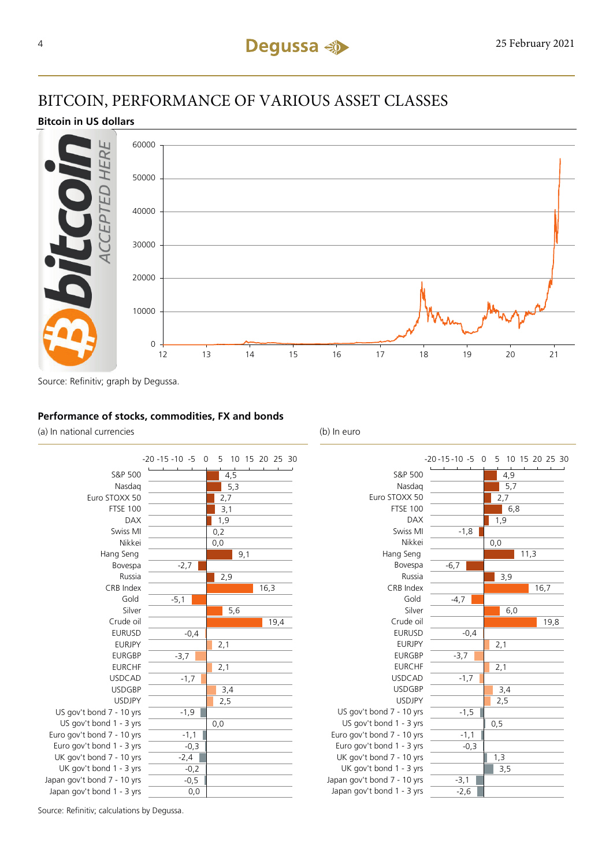### BITCOIN, PERFORMANCE OF VARIOUS ASSET CLASSES

### **Bitcoin in US dollars**



Source: Refinitiv; graph by Degussa.

### **Performance of stocks, commodities, FX and bonds**

(a) In national currencies (b) In euro





Source: Refinitiv; calculations by Degussa.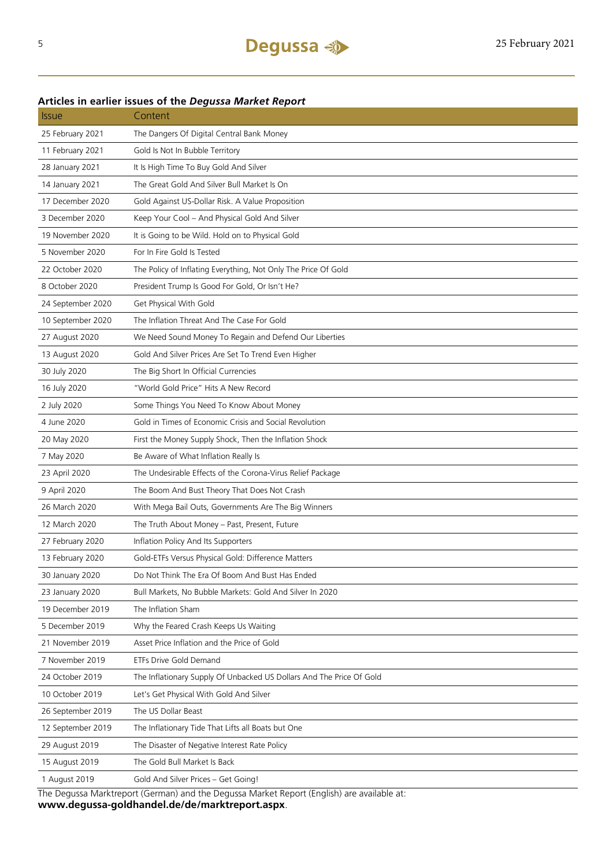### Issue Content 25 February 2021 The Dangers Of Digital Central Bank Money 11 February 2021 Gold Is Not In Bubble Territory 28 January 2021 It Is High Time To Buy Gold And Silver 14 January 2021 The Great Gold And Silver Bull Market Is On 17 December 2020 Gold Against US-Dollar Risk. A Value Proposition 3 December 2020 Keep Your Cool – And Physical Gold And Silver 19 November 2020 It is Going to be Wild. Hold on to Physical Gold 5 November 2020 For In Fire Gold Is Tested 22 October 2020 The Policy of Inflating Everything, Not Only The Price Of Gold 8 October 2020 President Trump Is Good For Gold, Or Isn't He? 24 September 2020 Get Physical With Gold 10 September 2020 The Inflation Threat And The Case For Gold 27 August 2020 We Need Sound Money To Regain and Defend Our Liberties 13 August 2020 Gold And Silver Prices Are Set To Trend Even Higher 30 July 2020 The Big Short In Official Currencies 16 July 2020 "World Gold Price" Hits A New Record 2 July 2020 Some Things You Need To Know About Money 4 June 2020 Gold in Times of Economic Crisis and Social Revolution 20 May 2020 First the Money Supply Shock, Then the Inflation Shock 7 May 2020 Be Aware of What Inflation Really Is 23 April 2020 The Undesirable Effects of the Corona-Virus Relief Package 9 April 2020 The Boom And Bust Theory That Does Not Crash 26 March 2020 With Mega Bail Outs, Governments Are The Big Winners 12 March 2020 The Truth About Money – Past, Present, Future 27 February 2020 Inflation Policy And Its Supporters 13 February 2020 Gold-ETFs Versus Physical Gold: Difference Matters 30 January 2020 Do Not Think The Era Of Boom And Bust Has Ended 23 January 2020 Bull Markets, No Bubble Markets: Gold And Silver In 2020 19 December 2019 The Inflation Sham 5 December 2019 Why the Feared Crash Keeps Us Waiting 21 November 2019 Asset Price Inflation and the Price of Gold 7 November 2019 ETFs Drive Gold Demand 24 October 2019 The Inflationary Supply Of Unbacked US Dollars And The Price Of Gold 10 October 2019 Let's Get Physical With Gold And Silver 26 September 2019 The US Dollar Beast 12 September 2019 The Inflationary Tide That Lifts all Boats but One 29 August 2019 The Disaster of Negative Interest Rate Policy 15 August 2019 The Gold Bull Market Is Back 1 August 2019 Gold And Silver Prices – Get Going!

#### **Articles in earlier issues of the** *Degussa Market Report*

The Degussa Marktreport (German) and the Degussa Market Report (English) are available at: **www.degussa-goldhandel.de/de/marktreport.aspx**.